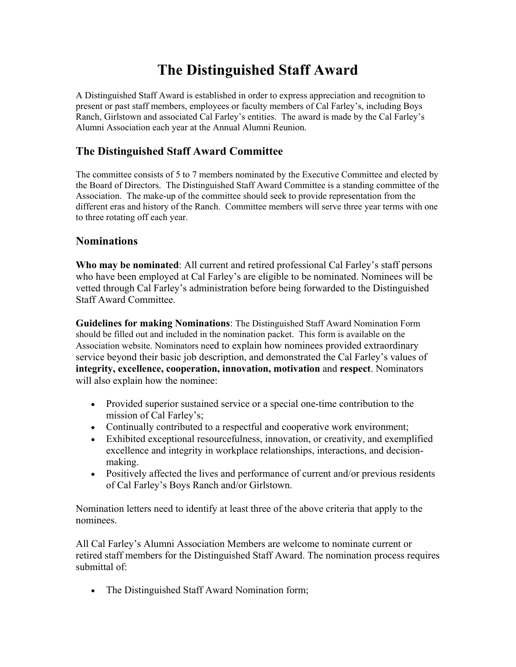# **The Distinguished Staff Award**

A Distinguished Staff Award is established in order to express appreciation and recognition to present or past staff members, employees or faculty members of Cal Farley's, including Boys Ranch, Girlstown and associated Cal Farley's entities. The award is made by the Cal Farley's Alumni Association each year at the Annual Alumni Reunion.

## **The Distinguished Staff Award Committee**

The committee consists of 5 to 7 members nominated by the Executive Committee and elected by the Board of Directors. The Distinguished Staff Award Committee is a standing committee of the Association. The make-up of the committee should seek to provide representation from the different eras and history of the Ranch. Committee members will serve three year terms with one to three rotating off each year.

### **Nominations**

**Who may be nominated**: All current and retired professional Cal Farley's staff persons who have been employed at Cal Farley's are eligible to be nominated. Nominees will be vetted through Cal Farley's administration before being forwarded to the Distinguished Staff Award Committee.

**Guidelines for making Nominations**: The Distinguished Staff Award Nomination Form should be filled out and included in the nomination packet. This form is available on the Association website. Nominators need to explain how nominees provided extraordinary service beyond their basic job description, and demonstrated the Cal Farley's values of **integrity, excellence, cooperation, innovation, motivation** and **respect**. Nominators will also explain how the nominee:

- Provided superior sustained service or a special one-time contribution to the mission of Cal Farley's;
- Continually contributed to a respectful and cooperative work environment;
- Exhibited exceptional resourcefulness, innovation, or creativity, and exemplified excellence and integrity in workplace relationships, interactions, and decisionmaking.
- Positively affected the lives and performance of current and/or previous residents of Cal Farley's Boys Ranch and/or Girlstown.

Nomination letters need to identify at least three of the above criteria that apply to the nominees.

All Cal Farley's Alumni Association Members are welcome to nominate current or retired staff members for the Distinguished Staff Award. The nomination process requires submittal of:

• The Distinguished Staff Award Nomination form;